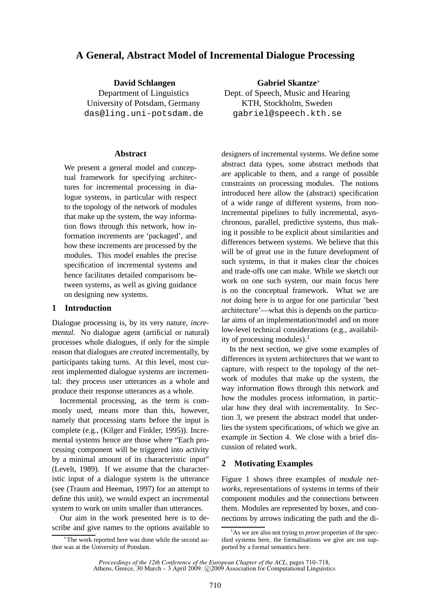# **A General, Abstract Model of Incremental Dialogue Processing**

**David Schlangen** Department of Linguistics University of Potsdam, Germany das@ling.uni-potsdam.de

#### **Abstract**

We present a general model and conceptual framework for specifying architectures for incremental processing in dialogue systems, in particular with respect to the topology of the network of modules that make up the system, the way information flows through this network, how information increments are 'packaged', and how these increments are processed by the modules. This model enables the precise specification of incremental systems and hence facilitates detailed comparisons between systems, as well as giving guidance on designing new systems.

## **1 Introduction**

Dialogue processing is, by its very nature, *incremental*. No dialogue agent (artificial or natural) processes whole dialogues, if only for the simple reason that dialogues are *created* incrementally, by participants taking turns. At this level, most current implemented dialogue systems are incremental: they process user utterances as a whole and produce their response utterances as a whole.

Incremental processing, as the term is commonly used, means more than this, however, namely that processing starts before the input is complete (e.g., (Kilger and Finkler, 1995)). Incremental systems hence are those where "Each processing component will be triggered into activity by a minimal amount of its characteristic input" (Levelt, 1989). If we assume that the characteristic input of a dialogue system is the utterance (see (Traum and Heeman, 1997) for an attempt to define this unit), we would expect an incremental system to work on units smaller than utterances.

Our aim in the work presented here is to describe and give names to the options available to

**Gabriel Skantze**<sup>∗</sup> Dept. of Speech, Music and Hearing KTH, Stockholm, Sweden gabriel@speech.kth.se

designers of incremental systems. We define some abstract data types, some abstract methods that are applicable to them, and a range of possible constraints on processing modules. The notions introduced here allow the (abstract) specification of a wide range of different systems, from nonincremental pipelines to fully incremental, asynchronous, parallel, predictive systems, thus making it possible to be explicit about similarities and differences between systems. We believe that this will be of great use in the future development of such systems, in that it makes clear the choices and trade-offs one can make. While we sketch our work on one such system, our main focus here is on the conceptual framework. What we are *not* doing here is to argue for one particular 'best architecture'—what this is depends on the particular aims of an implementation/model and on more low-level technical considerations (e.g., availability of processing modules).<sup>1</sup>

In the next section, we give some examples of differences in system architectures that we want to capture, with respect to the topology of the network of modules that make up the system, the way information flows through this network and how the modules process information, in particular how they deal with incrementality. In Section 3, we present the abstract model that underlies the system specifications, of which we give an example in Section 4. We close with a brief discussion of related work.

## **2 Motivating Examples**

Figure 1 shows three examples of *module networks*, representations of systems in terms of their component modules and the connections between them. Modules are represented by boxes, and connections by arrows indicating the path and the di-

<sup>∗</sup> The work reported here was done while the second author was at the University of Potsdam.

<sup>&</sup>lt;sup>1</sup>As we are also not trying to *prove* properties of the specified systems here, the formalisations we give are not supported by a formal semantics here.

*Proceedings of the 12th Conference of the European Chapter of the ACL*, pages 710–718,

Athens, Greece, 30 March – 3 April 2009. ©2009 Association for Computational Linguistics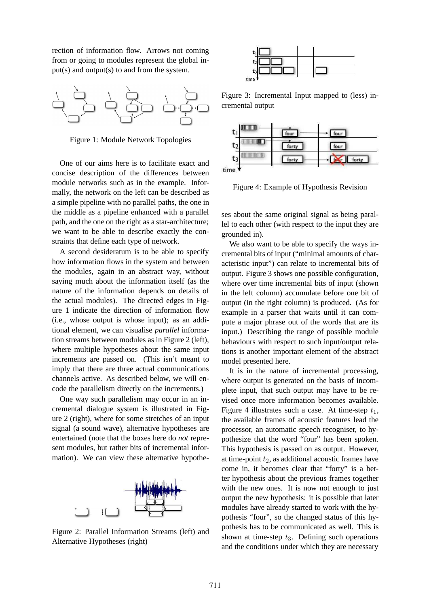rection of information flow. Arrows not coming from or going to modules represent the global input(s) and output(s) to and from the system.



Figure 1: Module Network Topologies

One of our aims here is to facilitate exact and concise description of the differences between module networks such as in the example. Informally, the network on the left can be described as a simple pipeline with no parallel paths, the one in the middle as a pipeline enhanced with a parallel path, and the one on the right as a star-architecture; we want to be able to describe exactly the constraints that define each type of network.

A second desideratum is to be able to specify how information flows in the system and between the modules, again in an abstract way, without saying much about the information itself (as the nature of the information depends on details of the actual modules). The directed edges in Figure 1 indicate the direction of information flow (i.e., whose output is whose input); as an additional element, we can visualise *parallel* information streams between modules as in Figure 2 (left), where multiple hypotheses about the same input increments are passed on. (This isn't meant to imply that there are three actual communications channels active. As described below, we will encode the parallelism directly on the increments.)

One way such parallelism may occur in an incremental dialogue system is illustrated in Figure 2 (right), where for some stretches of an input signal (a sound wave), alternative hypotheses are entertained (note that the boxes here do *not* represent modules, but rather bits of incremental information). We can view these alternative hypothe-



Figure 2: Parallel Information Streams (left) and Alternative Hypotheses (right)



Figure 3: Incremental Input mapped to (less) incremental output



Figure 4: Example of Hypothesis Revision

ses about the same original signal as being parallel to each other (with respect to the input they are grounded in).

We also want to be able to specify the ways incremental bits of input ("minimal amounts of characteristic input") can relate to incremental bits of output. Figure 3 shows one possible configuration, where over time incremental bits of input (shown in the left column) accumulate before one bit of output (in the right column) is produced. (As for example in a parser that waits until it can compute a major phrase out of the words that are its input.) Describing the range of possible module behaviours with respect to such input/output relations is another important element of the abstract model presented here.

It is in the nature of incremental processing, where output is generated on the basis of incomplete input, that such output may have to be revised once more information becomes available. Figure 4 illustrates such a case. At time-step  $t_1$ , the available frames of acoustic features lead the processor, an automatic speech recogniser, to hypothesize that the word "four" has been spoken. This hypothesis is passed on as output. However, at time-point  $t_2$ , as additional acoustic frames have come in, it becomes clear that "forty" is a better hypothesis about the previous frames together with the new ones. It is now not enough to just output the new hypothesis: it is possible that later modules have already started to work with the hypothesis "four", so the changed status of this hypothesis has to be communicated as well. This is shown at time-step  $t_3$ . Defining such operations and the conditions under which they are necessary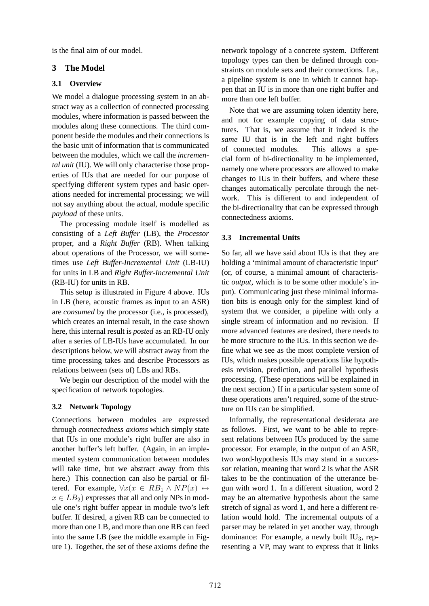is the final aim of our model.

## **3 The Model**

## **3.1 Overview**

We model a dialogue processing system in an abstract way as a collection of connected processing modules, where information is passed between the modules along these connections. The third component beside the modules and their connections is the basic unit of information that is communicated between the modules, which we call the *incremental unit* (IU). We will only characterise those properties of IUs that are needed for our purpose of specifying different system types and basic operations needed for incremental processing; we will not say anything about the actual, module specific *payload* of these units.

The processing module itself is modelled as consisting of a *Left Buffer* (LB), the *Processor* proper, and a *Right Buffer* (RB). When talking about operations of the Processor, we will sometimes use *Left Buffer-Incremental Unit* (LB-IU) for units in LB and *Right Buffer-Incremental Unit* (RB-IU) for units in RB.

This setup is illustrated in Figure 4 above. IUs in LB (here, acoustic frames as input to an ASR) are *consumed* by the processor (i.e., is processed), which creates an internal result, in the case shown here, this internal result is *posted* as an RB-IU only after a series of LB-IUs have accumulated. In our descriptions below, we will abstract away from the time processing takes and describe Processors as relations between (sets of) LBs and RBs.

We begin our description of the model with the specification of network topologies.

#### **3.2 Network Topology**

Connections between modules are expressed through *connectedness axioms* which simply state that IUs in one module's right buffer are also in another buffer's left buffer. (Again, in an implemented system communication between modules will take time, but we abstract away from this here.) This connection can also be partial or filtered. For example,  $\forall x(x \in RB_1 \land NP(x) \leftrightarrow$  $x \in LB_2$ ) expresses that all and only NPs in module one's right buffer appear in module two's left buffer. If desired, a given RB can be connected to more than one LB, and more than one RB can feed into the same LB (see the middle example in Figure 1). Together, the set of these axioms define the network topology of a concrete system. Different topology types can then be defined through constraints on module sets and their connections. I.e., a pipeline system is one in which it cannot happen that an IU is in more than one right buffer and more than one left buffer.

Note that we are assuming token identity here, and not for example copying of data structures. That is, we assume that it indeed is the *same* IU that is in the left and right buffers of connected modules. This allows a special form of bi-directionality to be implemented, namely one where processors are allowed to make changes to IUs in their buffers, and where these changes automatically percolate through the network. This is different to and independent of the bi-directionality that can be expressed through connectedness axioms.

## **3.3 Incremental Units**

So far, all we have said about IUs is that they are holding a 'minimal amount of characteristic input' (or, of course, a minimal amount of characteristic *output*, which is to be some other module's input). Communicating just these minimal information bits is enough only for the simplest kind of system that we consider, a pipeline with only a single stream of information and no revision. If more advanced features are desired, there needs to be more structure to the IUs. In this section we define what we see as the most complete version of IUs, which makes possible operations like hypothesis revision, prediction, and parallel hypothesis processing. (These operations will be explained in the next section.) If in a particular system some of these operations aren't required, some of the structure on IUs can be simplified.

Informally, the representational desiderata are as follows. First, we want to be able to represent relations between IUs produced by the same processor. For example, in the output of an ASR, two word-hypothesis IUs may stand in a *successor* relation, meaning that word 2 is what the ASR takes to be the continuation of the utterance begun with word 1. In a different situation, word 2 may be an alternative hypothesis about the same stretch of signal as word 1, and here a different relation would hold. The incremental outputs of a parser may be related in yet another way, through dominance: For example, a newly built  $IU_3$ , representing a VP, may want to express that it links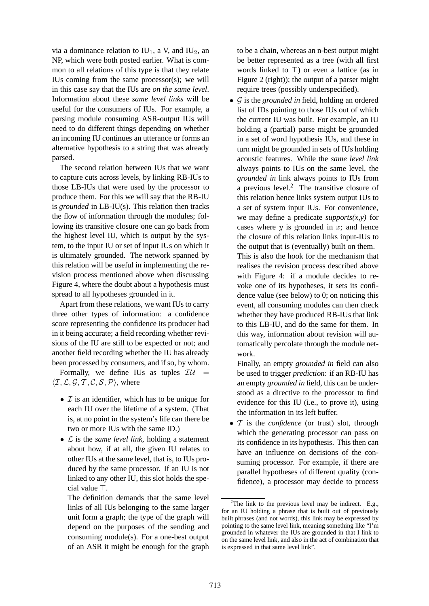via a dominance relation to  $IU_1$ , a V, and  $IU_2$ , an NP, which were both posted earlier. What is common to all relations of this type is that they relate IUs coming from the same processor(s); we will in this case say that the IUs are *on the same level*. Information about these *same level links* will be useful for the consumers of IUs. For example, a parsing module consuming ASR-output IUs will need to do different things depending on whether an incoming IU continues an utterance or forms an alternative hypothesis to a string that was already parsed.

The second relation between IUs that we want to capture cuts across levels, by linking RB-IUs to those LB-IUs that were used by the processor to produce them. For this we will say that the RB-IU is *grounded* in LB-IU(s). This relation then tracks the flow of information through the modules; following its transitive closure one can go back from the highest level IU, which is output by the system, to the input IU or set of input IUs on which it is ultimately grounded. The network spanned by this relation will be useful in implementing the revision process mentioned above when discussing Figure 4, where the doubt about a hypothesis must spread to all hypotheses grounded in it.

Apart from these relations, we want IUs to carry three other types of information: a confidence score representing the confidence its producer had in it being accurate; a field recording whether revisions of the IU are still to be expected or not; and another field recording whether the IU has already been processed by consumers, and if so, by whom.

Formally, we define IUs as tuples  $\mathcal{I}U =$  $\langle \mathcal{I}, \mathcal{L}, \mathcal{G}, \mathcal{T}, \mathcal{C}, \mathcal{S}, \mathcal{P} \rangle$ , where

- $\mathcal I$  is an identifier, which has to be unique for each IU over the lifetime of a system. (That is, at no point in the system's life can there be two or more IUs with the same ID.)
- L is the *same level link*, holding a statement about how, if at all, the given IU relates to other IUs at the same level, that is, to IUs produced by the same processor. If an IU is not linked to any other IU, this slot holds the special value ⊤.

The definition demands that the same level links of all IUs belonging to the same larger unit form a graph; the type of the graph will depend on the purposes of the sending and consuming module(s). For a one-best output of an ASR it might be enough for the graph to be a chain, whereas an n-best output might be better represented as a tree (with all first words linked to ⊤) or even a lattice (as in Figure 2 (right)); the output of a parser might require trees (possibly underspecified).

• G is the *grounded in* field, holding an ordered list of IDs pointing to those IUs out of which the current IU was built. For example, an IU holding a (partial) parse might be grounded in a set of word hypothesis IUs, and these in turn might be grounded in sets of IUs holding acoustic features. While the *same level link* always points to IUs on the same level, the *grounded in* link always points to IUs from a previous level.<sup>2</sup> The transitive closure of this relation hence links system output IUs to a set of system input IUs. For convenience, we may define a predicate *supports(x,y)* for cases where  $y$  is grounded in  $x$ ; and hence the closure of this relation links input-IUs to the output that is (eventually) built on them.

This is also the hook for the mechanism that realises the revision process described above with Figure 4: if a module decides to revoke one of its hypotheses, it sets its confidence value (see below) to 0; on noticing this event, all consuming modules can then check whether they have produced RB-IUs that link to this LB-IU, and do the same for them. In this way, information about revision will automatically percolate through the module network.

Finally, an empty *grounded in* field can also be used to trigger *prediction*: if an RB-IU has an empty *grounded in* field, this can be understood as a directive to the processor to find evidence for this IU (i.e., to prove it), using the information in its left buffer.

• T is the *confidence* (or trust) slot, through which the generating processor can pass on its confidence in its hypothesis. This then can have an influence on decisions of the consuming processor. For example, if there are parallel hypotheses of different quality (confidence), a processor may decide to process

<sup>&</sup>lt;sup>2</sup>The link to the previous level may be indirect. E.g., for an IU holding a phrase that is built out of previously built phrases (and not words), this link may be expressed by pointing to the same level link, meaning something like "I'm grounded in whatever the IUs are grounded in that I link to on the same level link, and also in the act of combination that is expressed in that same level link".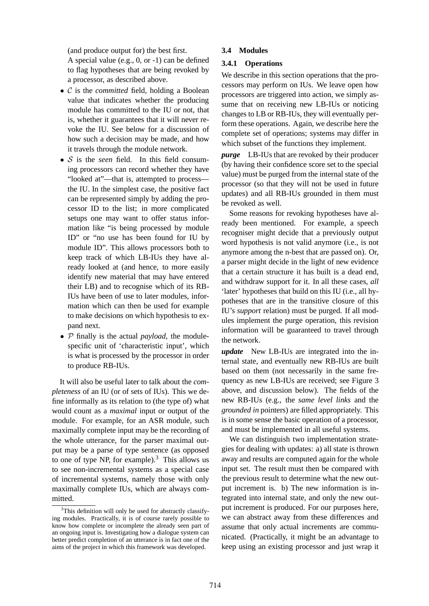(and produce output for) the best first.

A special value (e.g., 0, or -1) can be defined to flag hypotheses that are being revoked by a processor, as described above.

- C is the *committed* field, holding a Boolean value that indicates whether the producing module has committed to the IU or not, that is, whether it guarantees that it will never revoke the IU. See below for a discussion of how such a decision may be made, and how it travels through the module network.
- S is the *seen* field. In this field consuming processors can record whether they have "looked at"—that is, attempted to process the IU. In the simplest case, the positive fact can be represented simply by adding the processor ID to the list; in more complicated setups one may want to offer status information like "is being processed by module ID" or "no use has been found for IU by module ID". This allows processors both to keep track of which LB-IUs they have already looked at (and hence, to more easily identify new material that may have entered their LB) and to recognise which of its RB-IUs have been of use to later modules, information which can then be used for example to make decisions on which hypothesis to expand next.
- P finally is the actual *payload*, the modulespecific unit of 'characteristic input', which is what is processed by the processor in order to produce RB-IUs.

It will also be useful later to talk about the *completeness* of an IU (or of sets of IUs). This we define informally as its relation to (the type of) what would count as a *maximal* input or output of the module. For example, for an ASR module, such maximally complete input may be the recording of the whole utterance, for the parser maximal output may be a parse of type sentence (as opposed to one of type NP, for example).<sup>3</sup> This allows us to see non-incremental systems as a special case of incremental systems, namely those with only maximally complete IUs, which are always committed.

## **3.4 Modules**

## **3.4.1 Operations**

We describe in this section operations that the processors may perform on IUs. We leave open how processors are triggered into action, we simply assume that on receiving new LB-IUs or noticing changes to LB or RB-IUs, they will eventually perform these operations. Again, we describe here the complete set of operations; systems may differ in which subset of the functions they implement.

*purge* LB-IUs that are revoked by their producer (by having their confidence score set to the special value) must be purged from the internal state of the processor (so that they will not be used in future updates) and all RB-IUs grounded in them must be revoked as well.

Some reasons for revoking hypotheses have already been mentioned. For example, a speech recogniser might decide that a previously output word hypothesis is not valid anymore (i.e., is not anymore among the n-best that are passed on). Or, a parser might decide in the light of new evidence that a certain structure it has built is a dead end, and withdraw support for it. In all these cases, *all* 'later' hypotheses that build on this IU (i.e., all hypotheses that are in the transitive closure of this IU's *support* relation) must be purged. If all modules implement the purge operation, this revision information will be guaranteed to travel through the network.

*update* New LB-IUs are integrated into the internal state, and eventually new RB-IUs are built based on them (not necessarily in the same frequency as new LB-IUs are received; see Figure 3 above, and discussion below). The fields of the new RB-IUs (e.g., the *same level links* and the *grounded in* pointers) are filled appropriately. This is in some sense the basic operation of a processor, and must be implemented in all useful systems.

We can distinguish two implementation strategies for dealing with updates: a) all state is thrown away and results are computed again for the whole input set. The result must then be compared with the previous result to determine what the new output increment is. b) The new information is integrated into internal state, and only the new output increment is produced. For our purposes here, we can abstract away from these differences and assume that only actual increments are communicated. (Practically, it might be an advantage to keep using an existing processor and just wrap it

 $3$ This definition will only be used for abstractly classifying modules. Practically, it is of course rarely possible to know how complete or incomplete the already seen part of an ongoing input is. Investigating how a dialogue system can better predict completion of an utterance is in fact one of the aims of the project in which this framework was developed.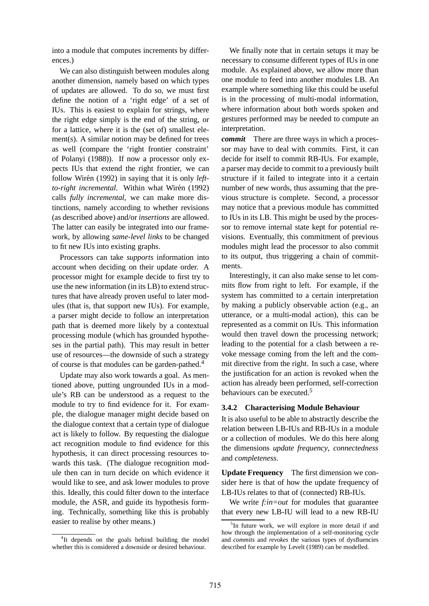into a module that computes increments by differences.)

We can also distinguish between modules along another dimension, namely based on which types of updates are allowed. To do so, we must first define the notion of a 'right edge' of a set of IUs. This is easiest to explain for strings, where the right edge simply is the end of the string, or for a lattice, where it is the (set of) smallest element(s). A similar notion may be defined for trees as well (compare the 'right frontier constraint' of Polanyi (1988)). If now a processor only expects IUs that extend the right frontier, we can follow Wirén (1992) in saying that it is only *left*to-right incremental. Within what Wirén (1992) calls *fully incremental*, we can make more distinctions, namely according to whether revisions (as described above) and/or *insertions* are allowed. The latter can easily be integrated into our framework, by allowing *same-level links* to be changed to fit new IUs into existing graphs.

Processors can take *supports* information into account when deciding on their update order. A processor might for example decide to first try to use the new information (in its LB) to extend structures that have already proven useful to later modules (that is, that support new IUs). For example, a parser might decide to follow an interpretation path that is deemed more likely by a contextual processing module (which has grounded hypotheses in the partial path). This may result in better use of resources—the downside of such a strategy of course is that modules can be garden-pathed.<sup>4</sup>

Update may also work towards a goal. As mentioned above, putting ungrounded IUs in a module's RB can be understood as a request to the module to try to find evidence for it. For example, the dialogue manager might decide based on the dialogue context that a certain type of dialogue act is likely to follow. By requesting the dialogue act recognition module to find evidence for this hypothesis, it can direct processing resources towards this task. (The dialogue recognition module then can in turn decide on which evidence it would like to see, and ask lower modules to prove this. Ideally, this could filter down to the interface module, the ASR, and guide its hypothesis forming. Technically, something like this is probably easier to realise by other means.)

<sup>4</sup>It depends on the goals behind building the model whether this is considered a downside or desired behaviour.

We finally note that in certain setups it may be necessary to consume different types of IUs in one module. As explained above, we allow more than one module to feed into another modules LB. An example where something like this could be useful is in the processing of multi-modal information, where information about both words spoken and gestures performed may be needed to compute an interpretation.

*commit* There are three ways in which a processor may have to deal with commits. First, it can decide for itself to commit RB-IUs. For example, a parser may decide to commit to a previously built structure if it failed to integrate into it a certain number of new words, thus assuming that the previous structure is complete. Second, a processor may notice that a previous module has committed to IUs in its LB. This might be used by the processor to remove internal state kept for potential revisions. Eventually, this commitment of previous modules might lead the processor to also commit to its output, thus triggering a chain of commitments.

Interestingly, it can also make sense to let commits flow from right to left. For example, if the system has committed to a certain interpretation by making a publicly observable action (e.g., an utterance, or a multi-modal action), this can be represented as a commit on IUs. This information would then travel down the processing network; leading to the potential for a clash between a revoke message coming from the left and the commit directive from the right. In such a case, where the justification for an action is revoked when the action has already been performed, self-correction behaviours can be executed.<sup>5</sup>

#### **3.4.2 Characterising Module Behaviour**

It is also useful to be able to abstractly describe the relation between LB-IUs and RB-IUs in a module or a collection of modules. We do this here along the dimensions *update frequency*, *connectedness* and *completeness*.

**Update Frequency** The first dimension we consider here is that of how the update frequency of LB-IUs relates to that of (connected) RB-IUs.

We write *f:in=out* for modules that guarantee that every new LB-IU will lead to a new RB-IU

<sup>&</sup>lt;sup>5</sup>In future work, we will explore in more detail if and how through the implementation of a self-monitoring cycle and *commits* and *revokes* the various types of dysfluencies described for example by Levelt (1989) can be modelled.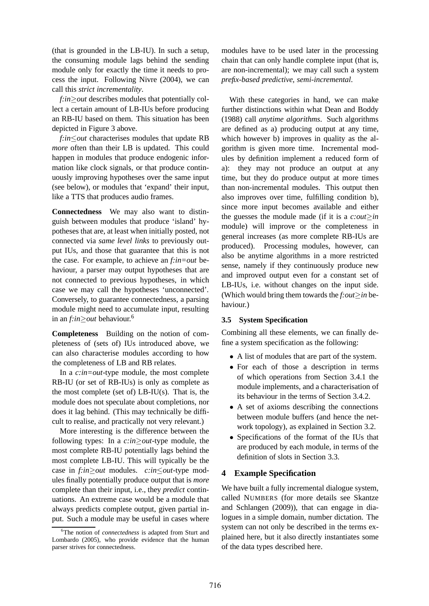(that is grounded in the LB-IU). In such a setup, the consuming module lags behind the sending module only for exactly the time it needs to process the input. Following Nivre (2004), we can call this *strict incrementality*.

*f:in≥out* describes modules that potentially collect a certain amount of LB-IUs before producing an RB-IU based on them. This situation has been depicted in Figure 3 above.

*f:in*≤*out* characterises modules that update RB *more* often than their LB is updated. This could happen in modules that produce endogenic information like clock signals, or that produce continuously improving hypotheses over the same input (see below), or modules that 'expand' their input, like a TTS that produces audio frames.

**Connectedness** We may also want to distinguish between modules that produce 'island' hypotheses that are, at least when initially posted, not connected via *same level links* to previously output IUs, and those that guarantee that this is not the case. For example, to achieve an *f:in=out* behaviour, a parser may output hypotheses that are not connected to previous hypotheses, in which case we may call the hypotheses 'unconnected'. Conversely, to guarantee connectedness, a parsing module might need to accumulate input, resulting in an *f:in*≥*out* behaviour.<sup>6</sup>

**Completeness** Building on the notion of completeness of (sets of) IUs introduced above, we can also characterise modules according to how the completeness of LB and RB relates.

In a *c:in=out*-type module, the most complete RB-IU (or set of RB-IUs) is only as complete as the most complete (set of)  $LB-IU(s)$ . That is, the module does not speculate about completions, nor does it lag behind. (This may technically be difficult to realise, and practically not very relevant.)

More interesting is the difference between the following types: In a *c:in*≥*out*-type module, the most complete RB-IU potentially lags behind the most complete LB-IU. This will typically be the case in *f:in*≥*out* modules. *c:in*≤*out*-type modules finally potentially produce output that is *more* complete than their input, i.e., they *predict* continuations. An extreme case would be a module that always predicts complete output, given partial input. Such a module may be useful in cases where

modules have to be used later in the processing chain that can only handle complete input (that is, are non-incremental); we may call such a system *prefix-based predictive, semi-incremental*.

With these categories in hand, we can make further distinctions within what Dean and Boddy (1988) call *anytime algorithms*. Such algorithms are defined as a) producing output at any time, which however b) improves in quality as the algorithm is given more time. Incremental modules by definition implement a reduced form of a): they may not produce an output at any time, but they do produce output at more times than non-incremental modules. This output then also improves over time, fulfilling condition b), since more input becomes available and either the guesses the module made (if it is a *c:out*≥*in* module) will improve or the completeness in general increases (as more complete RB-IUs are produced). Processing modules, however, can also be anytime algorithms in a more restricted sense, namely if they continuously produce new and improved output even for a constant set of LB-IUs, i.e. without changes on the input side. (Which would bring them towards the *f:out*≥*in* behaviour.)

## **3.5 System Specification**

Combining all these elements, we can finally define a system specification as the following:

- A list of modules that are part of the system.
- For each of those a description in terms of which operations from Section 3.4.1 the module implements, and a characterisation of its behaviour in the terms of Section 3.4.2.
- A set of axioms describing the connections between module buffers (and hence the network topology), as explained in Section 3.2.
- Specifications of the format of the IUs that are produced by each module, in terms of the definition of slots in Section 3.3.

# **4 Example Specification**

We have built a fully incremental dialogue system, called NUMBERS (for more details see Skantze and Schlangen (2009)), that can engage in dialogues in a simple domain, number dictation. The system can not only be described in the terms explained here, but it also directly instantiates some of the data types described here.

<sup>6</sup>The notion of *connectedness* is adapted from Sturt and Lombardo (2005), who provide evidence that the human parser strives for connectedness.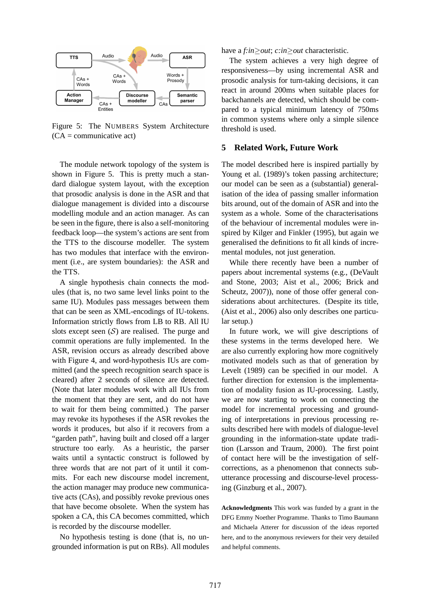

Figure 5: The NUMBERS System Architecture  $(CA = communicative$  act)

The module network topology of the system is shown in Figure 5. This is pretty much a standard dialogue system layout, with the exception that prosodic analysis is done in the ASR and that dialogue management is divided into a discourse modelling module and an action manager. As can be seen in the figure, there is also a self-monitoring feedback loop—the system's actions are sent from the TTS to the discourse modeller. The system has two modules that interface with the environment (i.e., are system boundaries): the ASR and the TTS.

A single hypothesis chain connects the modules (that is, no two same level links point to the same IU). Modules pass messages between them that can be seen as XML-encodings of IU-tokens. Information strictly flows from LB to RB. All IU slots except seen  $(S)$  are realised. The purge and commit operations are fully implemented. In the ASR, revision occurs as already described above with Figure 4, and word-hypothesis IUs are committed (and the speech recognition search space is cleared) after 2 seconds of silence are detected. (Note that later modules work with all IUs from the moment that they are sent, and do not have to wait for them being committed.) The parser may revoke its hypotheses if the ASR revokes the words it produces, but also if it recovers from a "garden path", having built and closed off a larger structure too early. As a heuristic, the parser waits until a syntactic construct is followed by three words that are not part of it until it commits. For each new discourse model increment, the action manager may produce new communicative acts (CAs), and possibly revoke previous ones that have become obsolete. When the system has spoken a CA, this CA becomes committed, which is recorded by the discourse modeller.

No hypothesis testing is done (that is, no ungrounded information is put on RBs). All modules

have a *f:in*≥*out*; *c:in*≥*out* characteristic.

The system achieves a very high degree of responsiveness—by using incremental ASR and prosodic analysis for turn-taking decisions, it can react in around 200ms when suitable places for backchannels are detected, which should be compared to a typical minimum latency of 750ms in common systems where only a simple silence threshold is used.

#### **5 Related Work, Future Work**

The model described here is inspired partially by Young et al. (1989)'s token passing architecture; our model can be seen as a (substantial) generalisation of the idea of passing smaller information bits around, out of the domain of ASR and into the system as a whole. Some of the characterisations of the behaviour of incremental modules were inspired by Kilger and Finkler (1995), but again we generalised the definitions to fit all kinds of incremental modules, not just generation.

While there recently have been a number of papers about incremental systems (e.g., (DeVault and Stone, 2003; Aist et al., 2006; Brick and Scheutz, 2007)), none of those offer general considerations about architectures. (Despite its title, (Aist et al., 2006) also only describes one particular setup.)

In future work, we will give descriptions of these systems in the terms developed here. We are also currently exploring how more cognitively motivated models such as that of generation by Levelt (1989) can be specified in our model. A further direction for extension is the implementation of modality fusion as IU-processing. Lastly, we are now starting to work on connecting the model for incremental processing and grounding of interpretations in previous processing results described here with models of dialogue-level grounding in the information-state update tradition (Larsson and Traum, 2000). The first point of contact here will be the investigation of selfcorrections, as a phenomenon that connects subutterance processing and discourse-level processing (Ginzburg et al., 2007).

**Acknowledgments** This work was funded by a grant in the DFG Emmy Noether Programme. Thanks to Timo Baumann and Michaela Atterer for discussion of the ideas reported here, and to the anonymous reviewers for their very detailed and helpful comments.